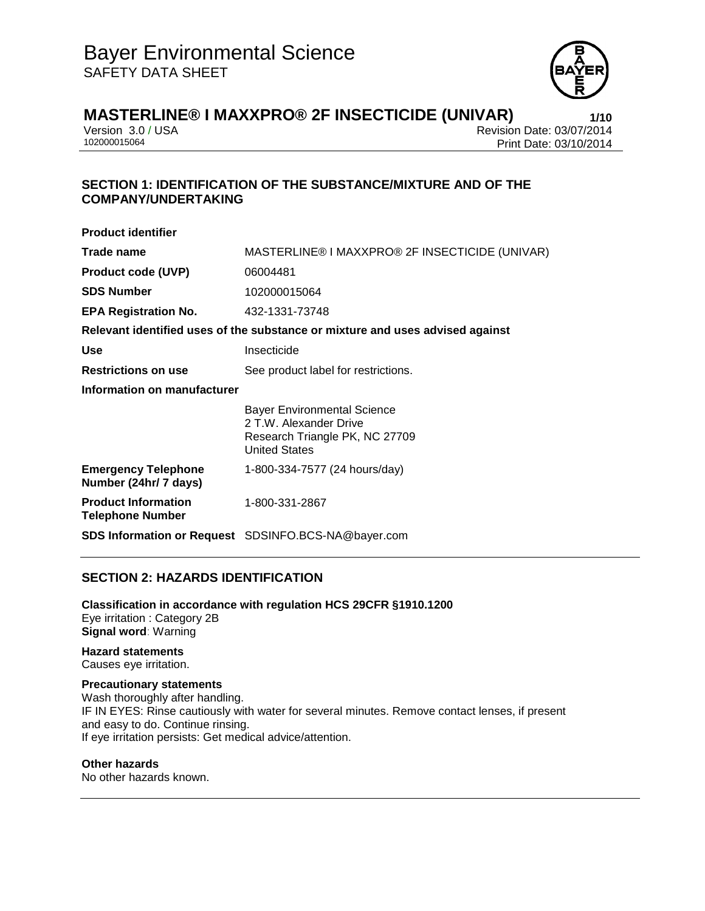

Version 3.0 / USA Revision Date: 03/07/2014<br>102000015064<br>Print Date: 03/10/2014 Print Date: 03/10/2014

# **SECTION 1: IDENTIFICATION OF THE SUBSTANCE/MIXTURE AND OF THE COMPANY/UNDERTAKING**

| <b>Product identifier</b>                             |                                                                                                                        |
|-------------------------------------------------------|------------------------------------------------------------------------------------------------------------------------|
| Trade name                                            | MASTERLINE® I MAXXPRO® 2F INSECTICIDE (UNIVAR)                                                                         |
| <b>Product code (UVP)</b>                             | 06004481                                                                                                               |
| <b>SDS Number</b>                                     | 102000015064                                                                                                           |
| <b>EPA Registration No.</b>                           | 432-1331-73748                                                                                                         |
|                                                       | Relevant identified uses of the substance or mixture and uses advised against                                          |
| Use                                                   | Insecticide                                                                                                            |
| <b>Restrictions on use</b>                            | See product label for restrictions.                                                                                    |
| Information on manufacturer                           |                                                                                                                        |
|                                                       | <b>Bayer Environmental Science</b><br>2 T.W. Alexander Drive<br>Research Triangle PK, NC 27709<br><b>United States</b> |
| <b>Emergency Telephone</b><br>Number (24hr/ 7 days)   | 1-800-334-7577 (24 hours/day)                                                                                          |
| <b>Product Information</b><br><b>Telephone Number</b> | 1-800-331-2867                                                                                                         |
|                                                       | SDS Information or Request SDSINFO.BCS-NA@bayer.com                                                                    |

## **SECTION 2: HAZARDS IDENTIFICATION**

**Classification in accordance with regulation HCS 29CFR §1910.1200** Eye irritation : Category 2B **Signal word**: Warning

**Hazard statements** Causes eye irritation.

#### **Precautionary statements**

Wash thoroughly after handling. IF IN EYES: Rinse cautiously with water for several minutes. Remove contact lenses, if present and easy to do. Continue rinsing. If eye irritation persists: Get medical advice/attention.

#### **Other hazards**

No other hazards known.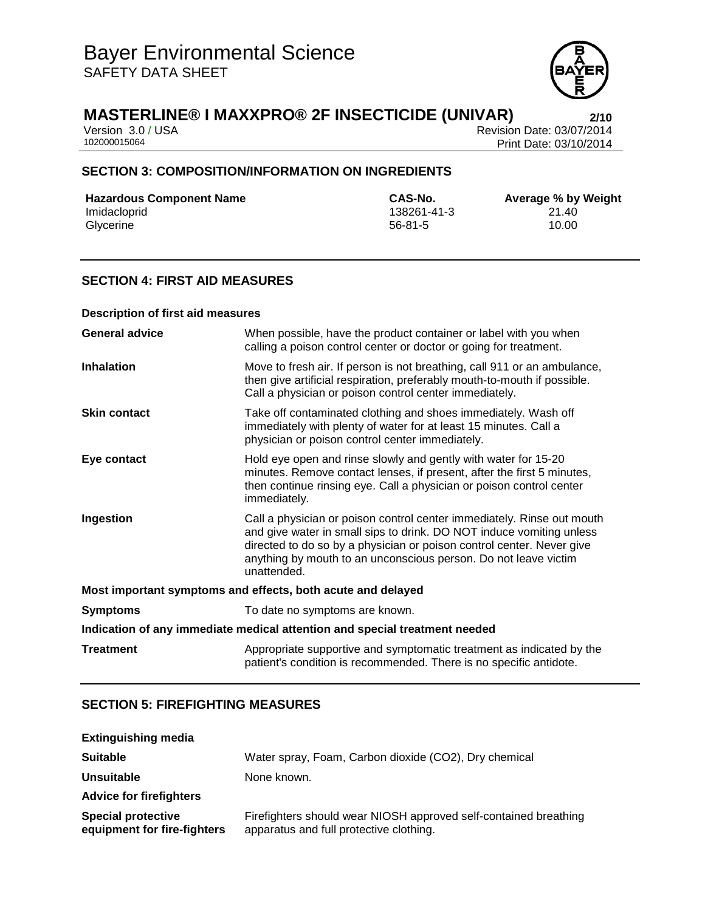

Version 3.0 / USA Revision Date: 03/07/2014<br>102000015064<br>Print Date: 03/10/2014 Print Date: 03/10/2014

## **SECTION 3: COMPOSITION/INFORMATION ON INGREDIENTS**

| <b>Hazardous Component Name</b> | CAS-No.     | Average % by |
|---------------------------------|-------------|--------------|
| Imidacloprid                    | 138261-41-3 | 21.40        |
| Glycerine                       | $56-81-5$   | 10.00        |

**CAS-No. Average % by Weight**<br>138261-41-3 21.40 138261-41-3 21.40<br>56-81-5 10.00

## **SECTION 4: FIRST AID MEASURES**

| <b>Description of first aid measures</b>                                   |                                                                                                                                                                                                                                                                                                           |  |
|----------------------------------------------------------------------------|-----------------------------------------------------------------------------------------------------------------------------------------------------------------------------------------------------------------------------------------------------------------------------------------------------------|--|
| <b>General advice</b>                                                      | When possible, have the product container or label with you when<br>calling a poison control center or doctor or going for treatment.                                                                                                                                                                     |  |
| <b>Inhalation</b>                                                          | Move to fresh air. If person is not breathing, call 911 or an ambulance,<br>then give artificial respiration, preferably mouth-to-mouth if possible.<br>Call a physician or poison control center immediately.                                                                                            |  |
| <b>Skin contact</b>                                                        | Take off contaminated clothing and shoes immediately. Wash off<br>immediately with plenty of water for at least 15 minutes. Call a<br>physician or poison control center immediately.                                                                                                                     |  |
| Eye contact                                                                | Hold eye open and rinse slowly and gently with water for 15-20<br>minutes. Remove contact lenses, if present, after the first 5 minutes,<br>then continue rinsing eye. Call a physician or poison control center<br>immediately.                                                                          |  |
| Ingestion                                                                  | Call a physician or poison control center immediately. Rinse out mouth<br>and give water in small sips to drink. DO NOT induce vomiting unless<br>directed to do so by a physician or poison control center. Never give<br>anything by mouth to an unconscious person. Do not leave victim<br>unattended. |  |
| Most important symptoms and effects, both acute and delayed                |                                                                                                                                                                                                                                                                                                           |  |
| <b>Symptoms</b>                                                            | To date no symptoms are known.                                                                                                                                                                                                                                                                            |  |
| Indication of any immediate medical attention and special treatment needed |                                                                                                                                                                                                                                                                                                           |  |
| <b>Treatment</b>                                                           | Appropriate supportive and symptomatic treatment as indicated by the<br>patient's condition is recommended. There is no specific antidote.                                                                                                                                                                |  |

## **SECTION 5: FIREFIGHTING MEASURES**

| <b>Extinguishing media</b>                               |                                                                                                             |
|----------------------------------------------------------|-------------------------------------------------------------------------------------------------------------|
| <b>Suitable</b>                                          | Water spray, Foam, Carbon dioxide (CO2), Dry chemical                                                       |
| <b>Unsuitable</b>                                        | None known.                                                                                                 |
| <b>Advice for firefighters</b>                           |                                                                                                             |
| <b>Special protective</b><br>equipment for fire-fighters | Firefighters should wear NIOSH approved self-contained breathing<br>apparatus and full protective clothing. |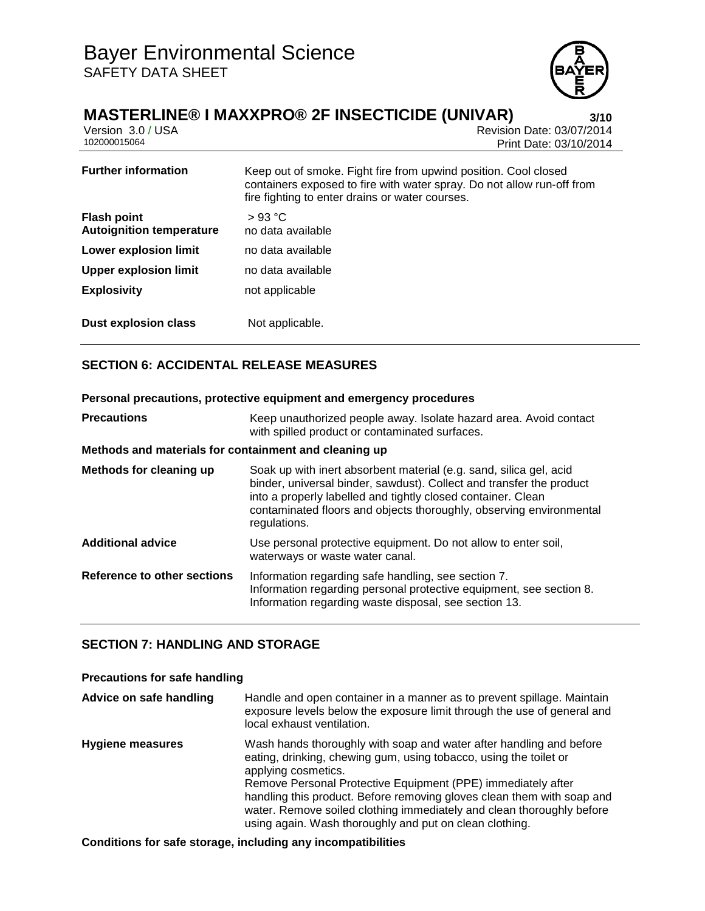

# **MASTERLINE® I MAXXPRO® 2F INSECTICIDE (UNIVAR) 3/10**

| Version 3.0 / USA |  |
|-------------------|--|
| 102000015064      |  |

Revision Date: 03/07/2014 Print Date: 03/10/2014

| <b>Further information</b>                            | Keep out of smoke. Fight fire from upwind position. Cool closed<br>containers exposed to fire with water spray. Do not allow run-off from<br>fire fighting to enter drains or water courses. |
|-------------------------------------------------------|----------------------------------------------------------------------------------------------------------------------------------------------------------------------------------------------|
| <b>Flash point</b><br><b>Autoignition temperature</b> | >93 °C<br>no data available                                                                                                                                                                  |
| Lower explosion limit                                 | no data available                                                                                                                                                                            |
| <b>Upper explosion limit</b>                          | no data available                                                                                                                                                                            |
| <b>Explosivity</b>                                    | not applicable                                                                                                                                                                               |
| <b>Dust explosion class</b>                           | Not applicable.                                                                                                                                                                              |

# **SECTION 6: ACCIDENTAL RELEASE MEASURES**

# **Personal precautions, protective equipment and emergency procedures Precautions Keep unauthorized people away. Isolate hazard area. Avoid contact** with spilled product or contaminated surfaces. **Methods and materials for containment and cleaning up Methods for cleaning up** Soak up with inert absorbent material (e.g. sand, silica gel, acid binder, universal binder, sawdust). Collect and transfer the product into a properly labelled and tightly closed container. Clean contaminated floors and objects thoroughly, observing environmental regulations. **Additional advice** Use personal protective equipment. Do not allow to enter soil, waterways or waste water canal. **Reference to other sections** Information regarding safe handling, see section 7. Information regarding personal protective equipment, see section 8. Information regarding waste disposal, see section 13.

# **SECTION 7: HANDLING AND STORAGE**

## **Precautions for safe handling**

**Advice on safe handling** Handle and open container in a manner as to prevent spillage. Maintain exposure levels below the exposure limit through the use of general and local exhaust ventilation. **Hygiene measures** Wash hands thoroughly with soap and water after handling and before eating, drinking, chewing gum, using tobacco, using the toilet or applying cosmetics. Remove Personal Protective Equipment (PPE) immediately after handling this product. Before removing gloves clean them with soap and water. Remove soiled clothing immediately and clean thoroughly before using again. Wash thoroughly and put on clean clothing.

## **Conditions for safe storage, including any incompatibilities**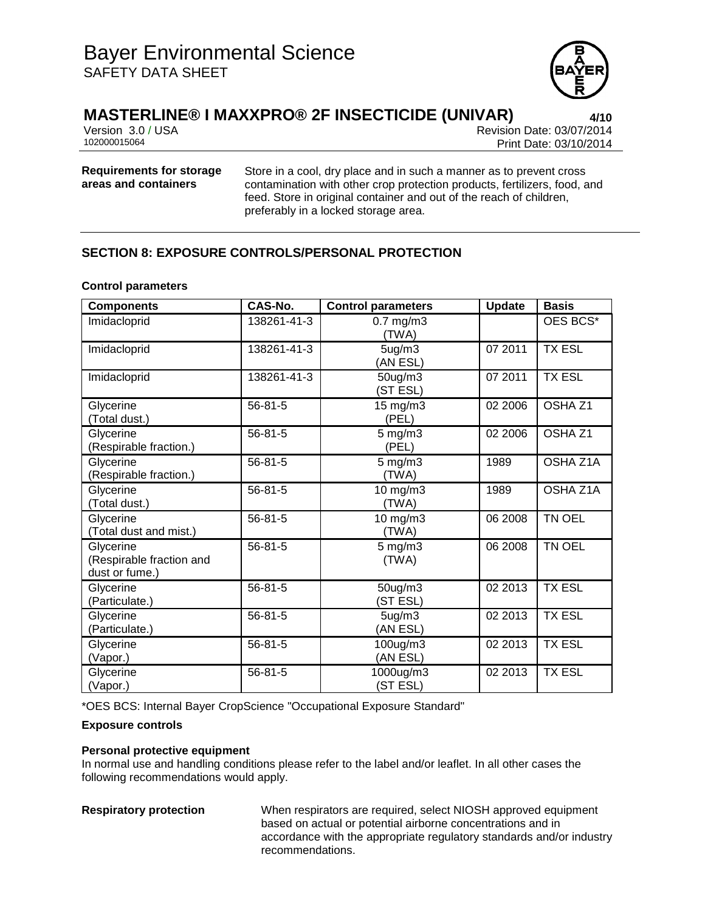

Version 3.0 / USA Revision Date: 03/07/2014<br>102000015064<br>Print Date: 03/10/2014 Print Date: 03/10/2014

#### **Requirements for storage areas and containers**

Store in a cool, dry place and in such a manner as to prevent cross contamination with other crop protection products, fertilizers, food, and feed. Store in original container and out of the reach of children, preferably in a locked storage area.

# **SECTION 8: EXPOSURE CONTROLS/PERSONAL PROTECTION**

#### **Control parameters**

| <b>Components</b>                                       | CAS-No.       | <b>Control parameters</b>   | <b>Update</b> | <b>Basis</b>       |
|---------------------------------------------------------|---------------|-----------------------------|---------------|--------------------|
| Imidacloprid                                            | 138261-41-3   | $0.7$ mg/m $3$<br>(TWA)     |               | OES BCS*           |
| Imidacloprid                                            | 138261-41-3   | $5$ ug/m $3$<br>(AN ESL)    | 07 2011       | <b>TX ESL</b>      |
| Imidacloprid                                            | 138261-41-3   | 50ug/m3<br>(ST ESL)         | 07 2011       | <b>TX ESL</b>      |
| Glycerine<br>(Total dust.)                              | $56 - 81 - 5$ | 15 mg/m3<br>(PEL)           | 02 2006       | OSHA <sub>Z1</sub> |
| Glycerine<br>(Respirable fraction.)                     | 56-81-5       | $5$ mg/m $3$<br>(PEL)       | 02 2006       | OSHA <sub>Z1</sub> |
| Glycerine<br>(Respirable fraction.)                     | $56 - 81 - 5$ | $5$ mg/m $3$<br>(TWA)       | 1989          | OSHA Z1A           |
| Glycerine<br>(Total dust.)                              | $56 - 81 - 5$ | 10 mg/m3<br>(TWA)           | 1989          | OSHA Z1A           |
| Glycerine<br>(Total dust and mist.)                     | 56-81-5       | 10 mg/m3<br>(TWA)           | 06 2008       | TN OEL             |
| Glycerine<br>(Respirable fraction and<br>dust or fume.) | $56 - 81 - 5$ | $5 \text{ mg/m}$ 3<br>(TWA) | 06 2008       | TN OEL             |
| Glycerine<br>(Particulate.)                             | 56-81-5       | 50ug/m3<br>(ST ESL)         | 02 2013       | <b>TX ESL</b>      |
| Glycerine<br>(Particulate.)                             | $56 - 81 - 5$ | $5$ ug/m $3$<br>(AN ESL)    | 02 2013       | <b>TX ESL</b>      |
| Glycerine<br>(Vapor.)                                   | $56 - 81 - 5$ | 100ug/m3<br>(AN ESL)        | 02 2013       | <b>TX ESL</b>      |
| Glycerine<br>(Vapor.)                                   | $56 - 81 - 5$ | 1000ug/m3<br>(ST ESL)       | 02 2013       | <b>TX ESL</b>      |

\*OES BCS: Internal Bayer CropScience "Occupational Exposure Standard"

#### **Exposure controls**

#### **Personal protective equipment**

In normal use and handling conditions please refer to the label and/or leaflet. In all other cases the following recommendations would apply.

**Respiratory protection** When respirators are required, select NIOSH approved equipment based on actual or potential airborne concentrations and in accordance with the appropriate regulatory standards and/or industry recommendations.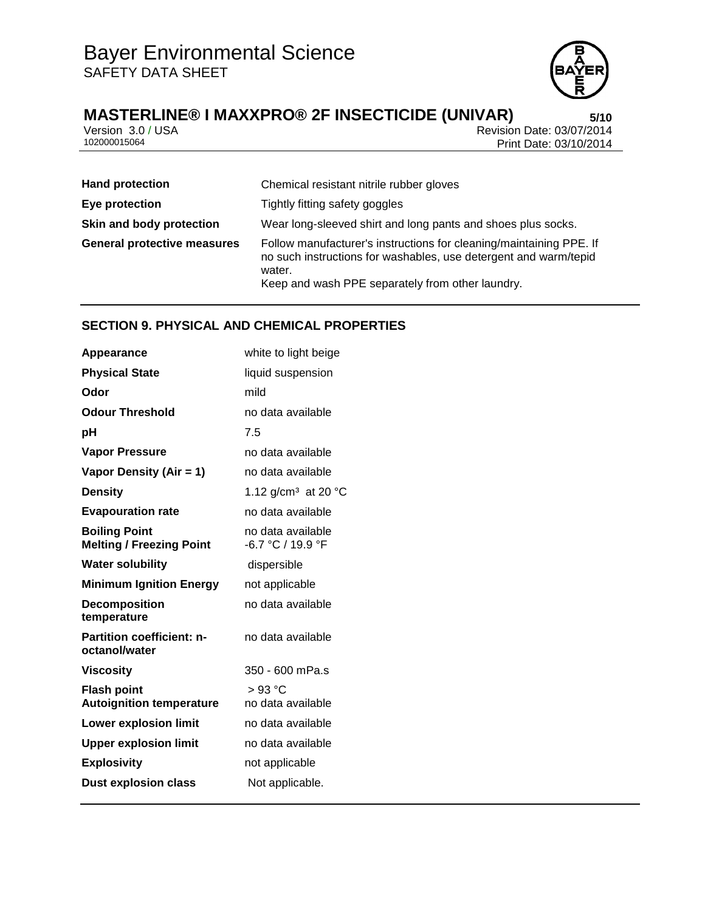

Version 3.0 / USA Revision Date: 03/07/2014<br>102000015064<br>Print Date: 03/10/2014 Print Date: 03/10/2014

| <b>Hand protection</b>             | Chemical resistant nitrile rubber gloves                                                                                                                                                              |
|------------------------------------|-------------------------------------------------------------------------------------------------------------------------------------------------------------------------------------------------------|
| Eye protection                     | Tightly fitting safety goggles                                                                                                                                                                        |
| Skin and body protection           | Wear long-sleeved shirt and long pants and shoes plus socks.                                                                                                                                          |
| <b>General protective measures</b> | Follow manufacturer's instructions for cleaning/maintaining PPE. If<br>no such instructions for washables, use detergent and warm/tepid<br>water.<br>Keep and wash PPE separately from other laundry. |

# **SECTION 9. PHYSICAL AND CHEMICAL PROPERTIES**

| Appearance                                              | white to light beige                   |
|---------------------------------------------------------|----------------------------------------|
| <b>Physical State</b>                                   | liquid suspension                      |
| Odor                                                    | mild                                   |
| <b>Odour Threshold</b>                                  | no data available                      |
| рH                                                      | 7.5                                    |
| <b>Vapor Pressure</b>                                   | no data available                      |
| Vapor Density (Air = 1)                                 | no data available                      |
| <b>Density</b>                                          | 1.12 g/cm <sup>3</sup> at 20 °C        |
| <b>Evapouration rate</b>                                | no data available                      |
| <b>Boiling Point</b><br><b>Melting / Freezing Point</b> | no data available<br>-6.7 °C / 19.9 °F |
| <b>Water solubility</b>                                 | dispersible                            |
| <b>Minimum Ignition Energy</b>                          | not applicable                         |
| <b>Decomposition</b><br>temperature                     | no data available                      |
| <b>Partition coefficient: n-</b><br>octanol/water       | no data available                      |
| <b>Viscosity</b>                                        | 350 - 600 mPa.s                        |
| <b>Flash point</b><br><b>Autoignition temperature</b>   | > 93 °C<br>no data available           |
| <b>Lower explosion limit</b>                            | no data available                      |
| <b>Upper explosion limit</b>                            | no data available                      |
| <b>Explosivity</b>                                      | not applicable                         |
| <b>Dust explosion class</b>                             | Not applicable.                        |
|                                                         |                                        |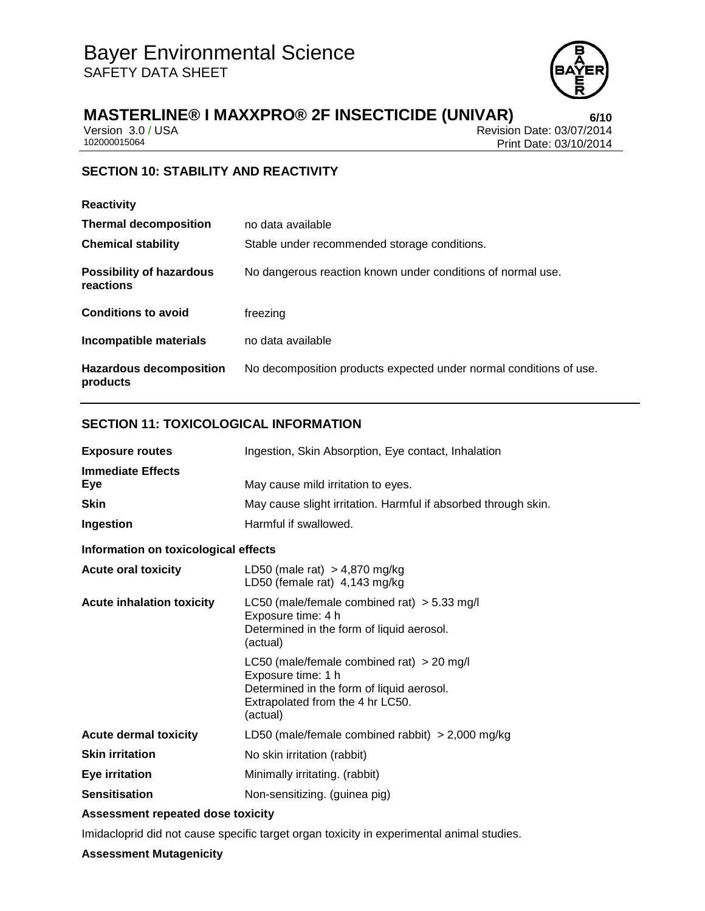

Version 3.0 / USA Revision Date: 03/07/2014<br>102000015064<br>Print Date: 03/10/2014 Print Date: 03/10/2014

# **SECTION 10: STABILITY AND REACTIVITY**

| <b>Reactivity</b>                            |                                                                    |
|----------------------------------------------|--------------------------------------------------------------------|
| <b>Thermal decomposition</b>                 | no data available                                                  |
| <b>Chemical stability</b>                    | Stable under recommended storage conditions.                       |
| <b>Possibility of hazardous</b><br>reactions | No dangerous reaction known under conditions of normal use.        |
| <b>Conditions to avoid</b>                   | freezing                                                           |
| Incompatible materials                       | no data available                                                  |
| <b>Hazardous decomposition</b><br>products   | No decomposition products expected under normal conditions of use. |

## **SECTION 11: TOXICOLOGICAL INFORMATION**

| <b>Exposure routes</b>               | Ingestion, Skin Absorption, Eye contact, Inhalation                                                                                                            |  |
|--------------------------------------|----------------------------------------------------------------------------------------------------------------------------------------------------------------|--|
| <b>Immediate Effects</b><br>Eye      | May cause mild irritation to eyes.                                                                                                                             |  |
| <b>Skin</b>                          | May cause slight irritation. Harmful if absorbed through skin.                                                                                                 |  |
| Ingestion                            | Harmful if swallowed.                                                                                                                                          |  |
| Information on toxicological effects |                                                                                                                                                                |  |
| <b>Acute oral toxicity</b>           | LD50 (male rat) $> 4,870$ mg/kg<br>LD50 (female rat) 4,143 mg/kg                                                                                               |  |
| <b>Acute inhalation toxicity</b>     | LC50 (male/female combined rat) $>$ 5.33 mg/l<br>Exposure time: 4 h<br>Determined in the form of liquid aerosol.<br>(actual)                                   |  |
|                                      | LC50 (male/female combined rat) $>$ 20 mg/l<br>Exposure time: 1 h<br>Determined in the form of liquid aerosol.<br>Extrapolated from the 4 hr LC50.<br>(actual) |  |
| <b>Acute dermal toxicity</b>         | LD50 (male/female combined rabbit) $>$ 2,000 mg/kg                                                                                                             |  |
| <b>Skin irritation</b>               | No skin irritation (rabbit)                                                                                                                                    |  |
| <b>Eye irritation</b>                | Minimally irritating. (rabbit)                                                                                                                                 |  |
| <b>Sensitisation</b>                 | Non-sensitizing. (guinea pig)                                                                                                                                  |  |
|                                      |                                                                                                                                                                |  |

## **Assessment repeated dose toxicity**

Imidacloprid did not cause specific target organ toxicity in experimental animal studies.

#### **Assessment Mutagenicity**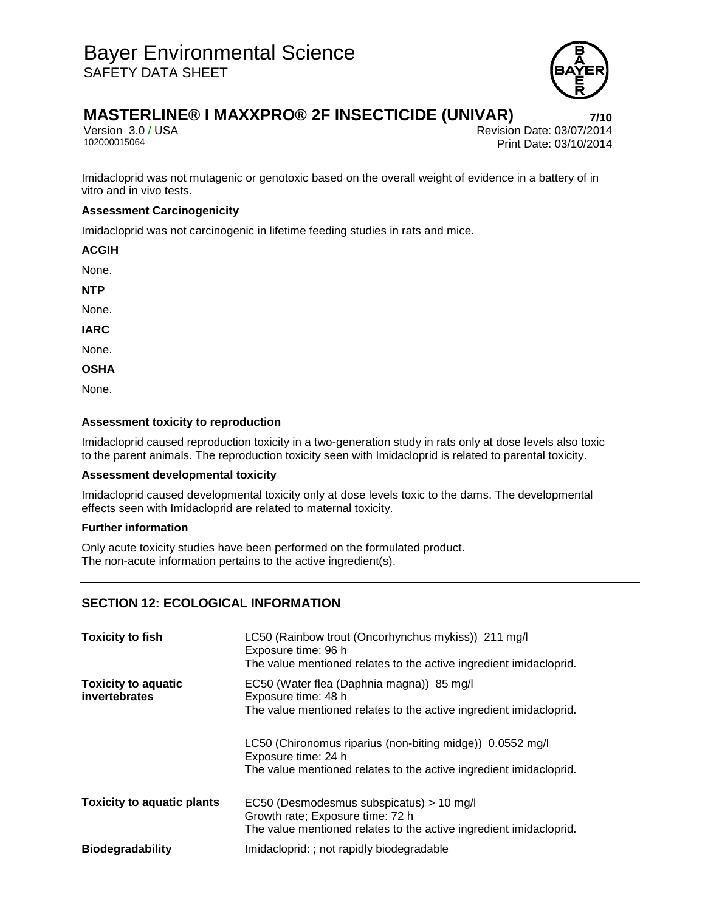

# **MASTERLINE® I MAXXPRO® 2F INSECTICIDE (UNIVAR) 7/10**

Version 3.0 / USA Revision Date: 03/07/2014<br>102000015064<br>Print Date: 03/10/2014 Print Date: 03/10/2014

Imidacloprid was not mutagenic or genotoxic based on the overall weight of evidence in a battery of in vitro and in vivo tests.

#### **Assessment Carcinogenicity**

Imidacloprid was not carcinogenic in lifetime feeding studies in rats and mice.

**ACGIH**

None.

**NTP**

None.

**IARC**

None.

**OSHA**

None.

#### **Assessment toxicity to reproduction**

Imidacloprid caused reproduction toxicity in a two-generation study in rats only at dose levels also toxic to the parent animals. The reproduction toxicity seen with Imidacloprid is related to parental toxicity.

## **Assessment developmental toxicity**

Imidacloprid caused developmental toxicity only at dose levels toxic to the dams. The developmental effects seen with Imidacloprid are related to maternal toxicity.

#### **Further information**

Only acute toxicity studies have been performed on the formulated product. The non-acute information pertains to the active ingredient(s).

## **SECTION 12: ECOLOGICAL INFORMATION**

| <b>Toxicity to fish</b>                     | LC50 (Rainbow trout (Oncorhynchus mykiss)) 211 mg/l<br>Exposure time: 96 h<br>The value mentioned relates to the active ingredient imidacloprid.       |
|---------------------------------------------|--------------------------------------------------------------------------------------------------------------------------------------------------------|
| <b>Toxicity to aquatic</b><br>invertebrates | EC50 (Water flea (Daphnia magna)) 85 mg/l<br>Exposure time: 48 h<br>The value mentioned relates to the active ingredient imidacloprid.                 |
|                                             | LC50 (Chironomus riparius (non-biting midge)) 0.0552 mg/l<br>Exposure time: 24 h<br>The value mentioned relates to the active ingredient imidacloprid. |
| <b>Toxicity to aquatic plants</b>           | EC50 (Desmodesmus subspicatus) > 10 mg/l<br>Growth rate; Exposure time: 72 h<br>The value mentioned relates to the active ingredient imidacloprid.     |
| <b>Biodegradability</b>                     | Imidacloprid: ; not rapidly biodegradable                                                                                                              |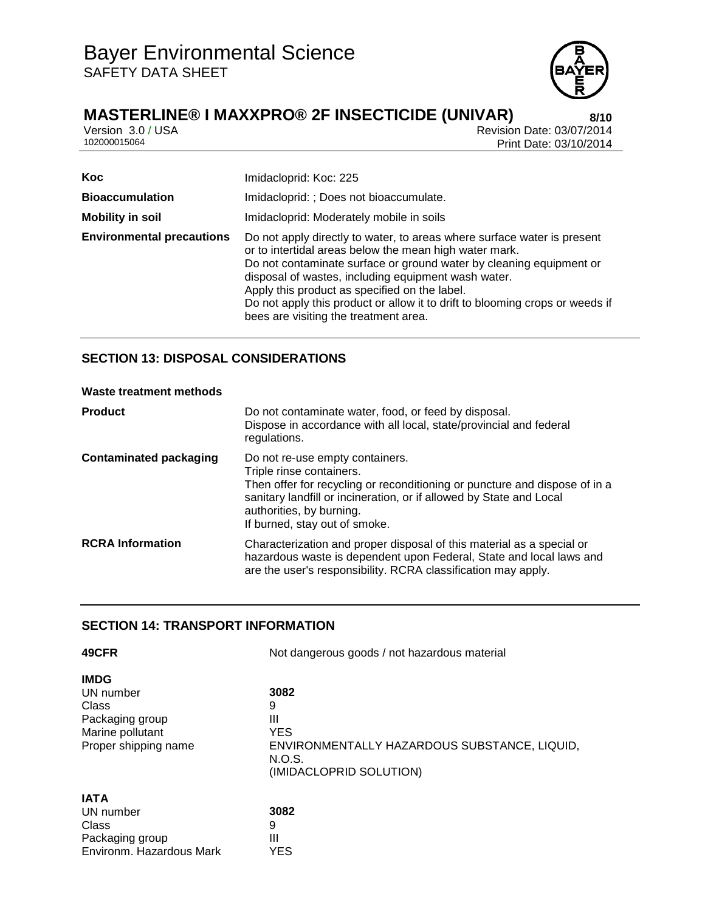

Version 3.0 / USA Revision Date: 03/07/2014<br>102000015064<br>Print Date: 03/10/2014 Print Date: 03/10/2014

| <b>Koc</b>                       | Imidacloprid: Koc: 225                                                                                                                                                                                                                                                                                                                                                                                                                    |  |  |
|----------------------------------|-------------------------------------------------------------------------------------------------------------------------------------------------------------------------------------------------------------------------------------------------------------------------------------------------------------------------------------------------------------------------------------------------------------------------------------------|--|--|
| <b>Bioaccumulation</b>           | Imidacloprid: ; Does not bioaccumulate.                                                                                                                                                                                                                                                                                                                                                                                                   |  |  |
| <b>Mobility in soil</b>          | Imidacloprid: Moderately mobile in soils                                                                                                                                                                                                                                                                                                                                                                                                  |  |  |
| <b>Environmental precautions</b> | Do not apply directly to water, to areas where surface water is present<br>or to intertidal areas below the mean high water mark.<br>Do not contaminate surface or ground water by cleaning equipment or<br>disposal of wastes, including equipment wash water.<br>Apply this product as specified on the label.<br>Do not apply this product or allow it to drift to blooming crops or weeds if<br>bees are visiting the treatment area. |  |  |

# **SECTION 13: DISPOSAL CONSIDERATIONS**

#### **Waste treatment methods**

| <b>Product</b>                | Do not contaminate water, food, or feed by disposal.<br>Dispose in accordance with all local, state/provincial and federal<br>regulations.                                                                                                                                    |  |
|-------------------------------|-------------------------------------------------------------------------------------------------------------------------------------------------------------------------------------------------------------------------------------------------------------------------------|--|
| <b>Contaminated packaging</b> | Do not re-use empty containers.<br>Triple rinse containers.<br>Then offer for recycling or reconditioning or puncture and dispose of in a<br>sanitary landfill or incineration, or if allowed by State and Local<br>authorities, by burning.<br>If burned, stay out of smoke. |  |
| <b>RCRA Information</b>       | Characterization and proper disposal of this material as a special or<br>hazardous waste is dependent upon Federal, State and local laws and<br>are the user's responsibility. RCRA classification may apply.                                                                 |  |

## **SECTION 14: TRANSPORT INFORMATION**

| 49CFR                    | Not dangerous goods / not hazardous material |  |  |
|--------------------------|----------------------------------------------|--|--|
| <b>IMDG</b>              | 3082                                         |  |  |
| UN number                | 9                                            |  |  |
| Class                    | Ш                                            |  |  |
| Packaging group          | <b>YES</b>                                   |  |  |
| Marine pollutant         | ENVIRONMENTALLY HAZARDOUS SUBSTANCE, LIQUID, |  |  |
| Proper shipping name     | N.O.S.                                       |  |  |
| <b>IATA</b>              | (IMIDACLOPRID SOLUTION)                      |  |  |
| UN number                | 3082                                         |  |  |
| Class                    | 9                                            |  |  |
| Packaging group          | Ш                                            |  |  |
| Environm. Hazardous Mark | YES                                          |  |  |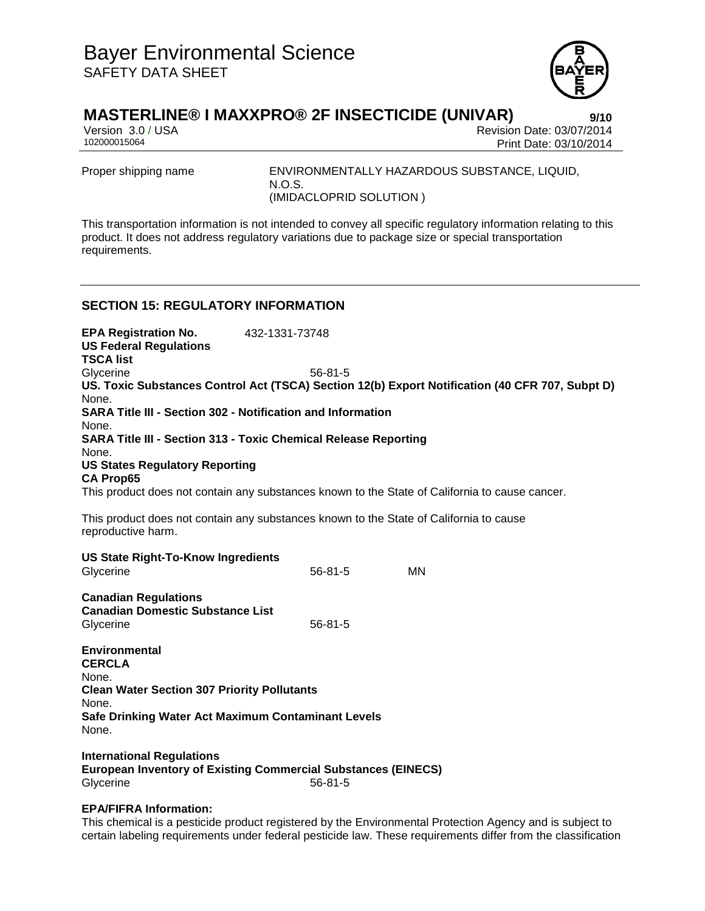

Version 3.0 / USA Revision Date: 03/07/2014<br>102000015064<br>Print Date: 03/10/2014 Print Date: 03/10/2014

Proper shipping name ENVIRONMENTALLY HAZARDOUS SUBSTANCE, LIQUID, N.O.S. (IMIDACLOPRID SOLUTION )

This transportation information is not intended to convey all specific regulatory information relating to this product. It does not address regulatory variations due to package size or special transportation requirements.

## **SECTION 15: REGULATORY INFORMATION**

**EPA Registration No.** 432-1331-73748 **US Federal Regulations TSCA list** Glycerine 56-81-5 **US. Toxic Substances Control Act (TSCA) Section 12(b) Export Notification (40 CFR 707, Subpt D)** None. **SARA Title III - Section 302 - Notification and Information** None. **SARA Title III - Section 313 - Toxic Chemical Release Reporting** None. **US States Regulatory Reporting CA Prop65** This product does not contain any substances known to the State of California to cause cancer. This product does not contain any substances known to the State of California to cause reproductive harm. **US State Right-To-Know Ingredients** Glycerine MN 56-81-5 **Canadian Regulations Canadian Domestic Substance List** Glycerine 56-81-5 **Environmental CERCLA** None. **Clean Water Section 307 Priority Pollutants** None. **Safe Drinking Water Act Maximum Contaminant Levels** None. **International Regulations European Inventory of Existing Commercial Substances (EINECS)**

Glycerine 56-81-5

## **EPA/FIFRA Information:**

This chemical is a pesticide product registered by the Environmental Protection Agency and is subject to certain labeling requirements under federal pesticide law. These requirements differ from the classification